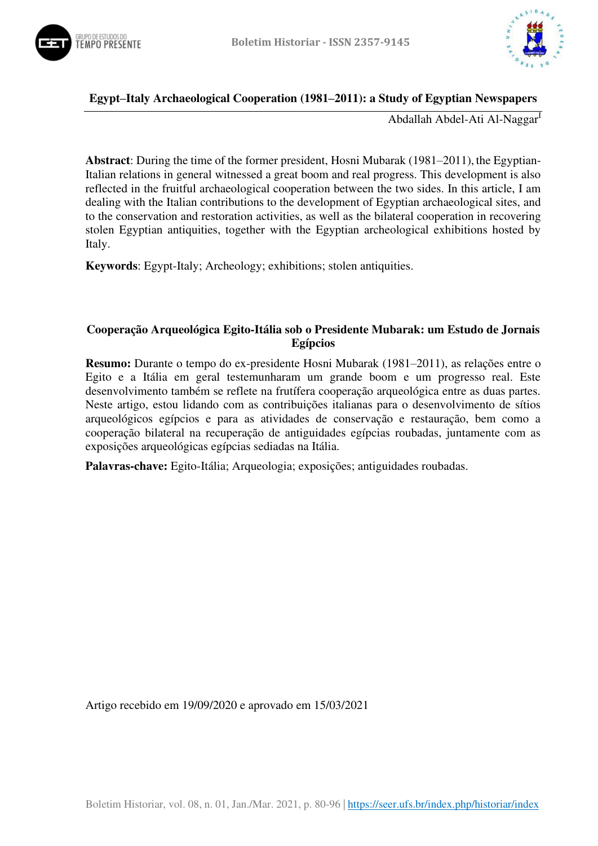



### **Egypt–Italy Archaeological Cooperation (1981–2011): a Study of Egyptian Newspapers**

Abdallah Abdel-Ati Al-Naggar<sup>I</sup>

**Abstract**: During the time of the former president, Hosni Mubarak (1981–2011), the Egyptian-Italian relations in general witnessed a great boom and real progress. This development is also reflected in the fruitful archaeological cooperation between the two sides. In this article, I am dealing with the Italian contributions to the development of Egyptian archaeological sites, and to the conservation and restoration activities, as well as the bilateral cooperation in recovering stolen Egyptian antiquities, together with the Egyptian archeological exhibitions hosted by Italy.

**Keywords**: Egypt-Italy; Archeology; exhibitions; stolen antiquities.

## **Cooperação Arqueológica Egito-Itália sob o Presidente Mubarak: um Estudo de Jornais Egípcios**

**Resumo:** Durante o tempo do ex-presidente Hosni Mubarak (1981–2011), as relações entre o Egito e a Itália em geral testemunharam um grande boom e um progresso real. Este desenvolvimento também se reflete na frutífera cooperação arqueológica entre as duas partes. Neste artigo, estou lidando com as contribuições italianas para o desenvolvimento de sítios arqueológicos egípcios e para as atividades de conservação e restauração, bem como a cooperação bilateral na recuperação de antiguidades egípcias roubadas, juntamente com as exposições arqueológicas egípcias sediadas na Itália.

**Palavras-chave:** Egito-Itália; Arqueologia; exposições; antiguidades roubadas.

Artigo recebido em 19/09/2020 e aprovado em 15/03/2021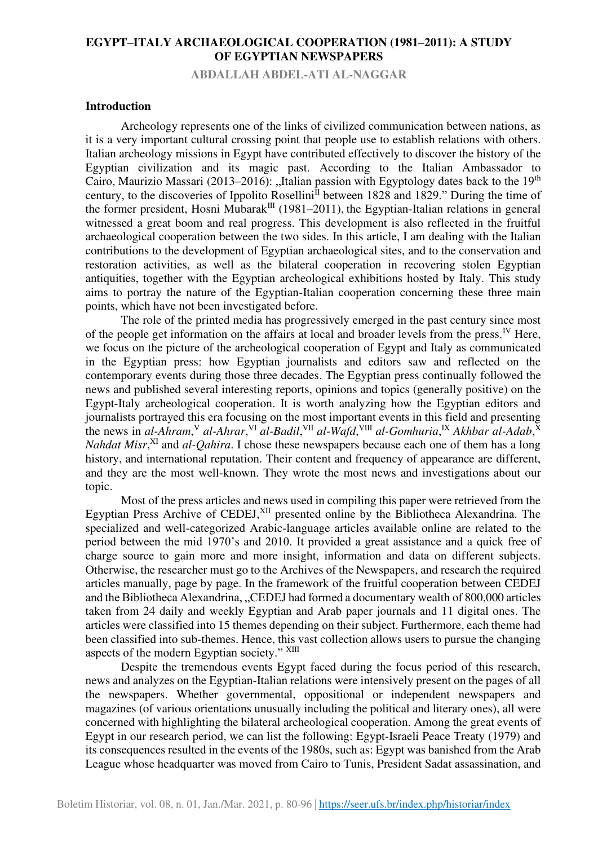**ABDALLAH ABDEL-ATI AL-NAGGAR** 

#### **Introduction**

Archeology represents one of the links of civilized communication between nations, as it is a very important cultural crossing point that people use to establish relations with others. Italian archeology missions in Egypt have contributed effectively to discover the history of the Egyptian civilization and its magic past. According to the Italian Ambassador to Cairo, Maurizio Massari (2013–2016): "Italian passion with Egyptology dates back to the 19<sup>th</sup> century, to the discoveries of Ippolito Rosellini<sup>II</sup> between 1828 and 1829." During the time of the former president, Hosni Mubarak<sup>III</sup> (1981–2011), the Egyptian-Italian relations in general witnessed a great boom and real progress. This development is also reflected in the fruitful archaeological cooperation between the two sides. In this article, I am dealing with the Italian contributions to the development of Egyptian archaeological sites, and to the conservation and restoration activities, as well as the bilateral cooperation in recovering stolen Egyptian antiquities, together with the Egyptian archeological exhibitions hosted by Italy. This study aims to portray the nature of the Egyptian-Italian cooperation concerning these three main points, which have not been investigated before.

The role of the printed media has progressively emerged in the past century since most of the people get information on the affairs at local and broader levels from the press.<sup>IV</sup> Here, we focus on the picture of the archeological cooperation of Egypt and Italy as communicated in the Egyptian press: how Egyptian journalists and editors saw and reflected on the contemporary events during those three decades. The Egyptian press continually followed the news and published several interesting reports, opinions and topics (generally positive) on the Egypt-Italy archeological cooperation. It is worth analyzing how the Egyptian editors and journalists portrayed this era focusing on the most important events in this field and presenting the news in *al-Ahram*,<sup>V</sup> *al-Ahrar*,<sup>VI</sup> *al-Badil*,<sup>VII</sup> *al-Wafd*,<sup>VIII</sup> *al-Gomhuria*,<sup>IX</sup> *Akhbar al-Adab*,<sup>X</sup> *Nahdat Misr*<sup>XI</sup> and *al-Qahira*. I chose these newspapers because each one of them has a long history, and international reputation. Their content and frequency of appearance are different, and they are the most well-known. They wrote the most news and investigations about our topic.

Most of the press articles and news used in compiling this paper were retrieved from the Egyptian Press Archive of CEDEJ, $XII$  presented online by the Bibliotheca Alexandrina. The specialized and well-categorized Arabic-language articles available online are related to the period between the mid 1970's and 2010. It provided a great assistance and a quick free of charge source to gain more and more insight, information and data on different subjects. Otherwise, the researcher must go to the Archives of the Newspapers, and research the required articles manually, page by page. In the framework of the fruitful cooperation between CEDEJ and the Bibliotheca Alexandrina, "CEDEJ had formed a documentary wealth of 800,000 articles taken from 24 daily and weekly Egyptian and Arab paper journals and 11 digital ones. The articles were classified into 15 themes depending on their subject. Furthermore, each theme had been classified into sub-themes. Hence, this vast collection allows users to pursue the changing aspects of the modern Egyptian society." XIII

Despite the tremendous events Egypt faced during the focus period of this research, news and analyzes on the Egyptian-Italian relations were intensively present on the pages of all the newspapers. Whether governmental, oppositional or independent newspapers and magazines (of various orientations unusually including the political and literary ones), all were concerned with highlighting the bilateral archeological cooperation. Among the great events of Egypt in our research period, we can list the following: Egypt-Israeli Peace Treaty (1979) and its consequences resulted in the events of the 1980s, such as: Egypt was banished from the Arab League whose headquarter was moved from Cairo to Tunis, President Sadat assassination, and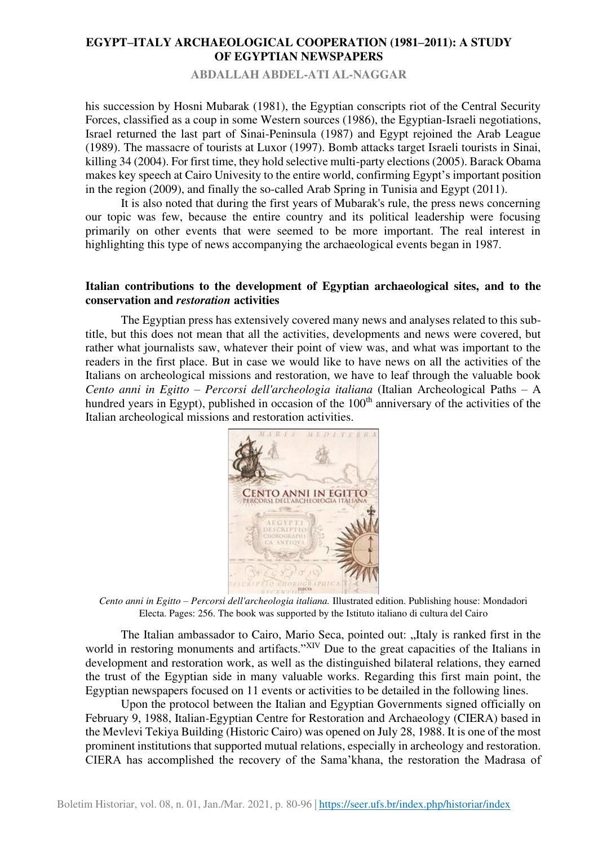**ABDALLAH ABDEL-ATI AL-NAGGAR** 

his succession by Hosni Mubarak (1981), the Egyptian conscripts riot of the Central Security Forces, classified as a coup in some Western sources (1986), the Egyptian-Israeli negotiations, Israel returned the last part of Sinai-Peninsula (1987) and Egypt rejoined the Arab League (1989). The massacre of tourists at Luxor (1997). Bomb attacks target Israeli tourists in Sinai, killing 34 (2004). For first time, they hold selective multi-party elections (2005). Barack Obama makes key speech at Cairo Univesity to the entire world, confirming Egypt's important position in the region (2009), and finally the so-called Arab Spring in Tunisia and Egypt (2011).

It is also noted that during the first years of Mubarak's rule, the press news concerning our topic was few, because the entire country and its political leadership were focusing primarily on other events that were seemed to be more important. The real interest in highlighting this type of news accompanying the archaeological events began in 1987.

## **Italian contributions to the development of Egyptian archaeological sites, and to the conservation and** *restoration* **activities**

The Egyptian press has extensively covered many news and analyses related to this subtitle, but this does not mean that all the activities, developments and news were covered, but rather what journalists saw, whatever their point of view was, and what was important to the readers in the first place. But in case we would like to have news on all the activities of the Italians on archeological missions and restoration, we have to leaf through the valuable book *Cento anni in Egitto – Percorsi dell'archeologia italiana* (Italian Archeological Paths – A hundred years in Egypt), published in occasion of the 100<sup>th</sup> anniversary of the activities of the Italian archeological missions and restoration activities.



*Cento anni in Egitto – Percorsi dell'archeologia italiana.* Illustrated edition. Publishing house[: Mondadori](https://www.libreriauniversitaria.it/libri-editore_Mondadori+Electa-mondadori_electa.htm)  [Electa.](https://www.libreriauniversitaria.it/libri-editore_Mondadori+Electa-mondadori_electa.htm) Pages: 256. The book was supported by the Istituto italiano di cultura del Cairo

The Italian ambassador to Cairo, Mario Seca, pointed out: "Italy is ranked first in the world in restoring monuments and artifacts."<sup>XIV</sup> Due to the great capacities of the Italians in development and restoration work, as well as the distinguished bilateral relations, they earned the trust of the Egyptian side in many valuable works. Regarding this first main point, the Egyptian newspapers focused on 11 events or activities to be detailed in the following lines.

Upon the protocol between the Italian and Egyptian Governments signed officially on February 9, 1988, Italian*-*Egyptian Centre for Restoration and Archaeology (CIERA) based in the Mevlevi Tekiya Building (Historic Cairo) was opened on July 28, 1988. It is one of the most prominent institutions that supported mutual relations, especially in archeology and restoration. CIERA has accomplished the recovery of the Sama'khana, the restoration the Madrasa of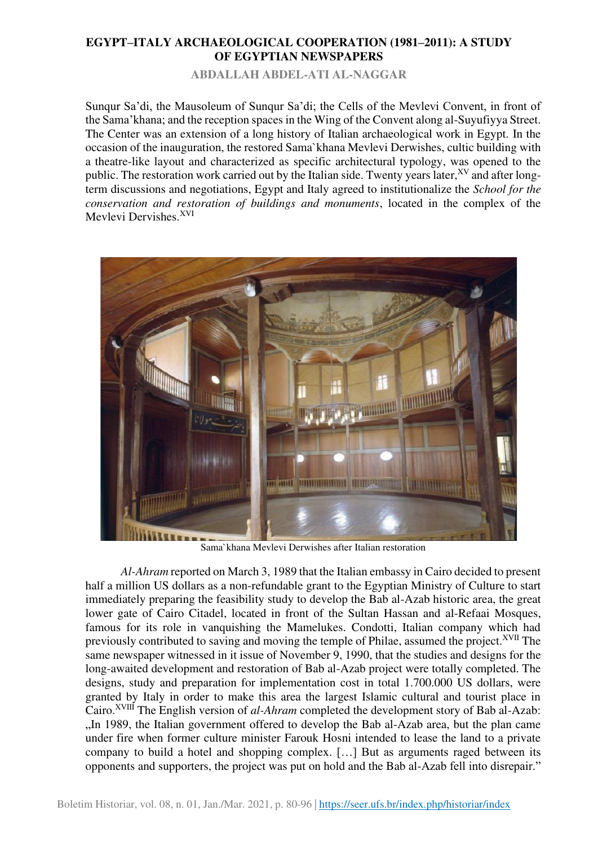**ABDALLAH ABDEL-ATI AL-NAGGAR** 

Sunqur Sa'di, the Mausoleum of Sunqur Sa'di; the Cells of the Mevlevi Convent, in front of the Sama'khana; and the reception spaces in the Wing of the Convent along al-Suyufiyya Street. The Center was an extension of a long history of Italian archaeological work in Egypt. In the occasion of the inauguration, the restored Sama`khana Mevlevi Derwishes, cultic building with a theatre-like layout and characterized as specific architectural typology, was opened to the public. The restoration work carried out by the Italian side. Twenty years later,<sup>XV</sup> and after longterm discussions and negotiations, Egypt and Italy agreed to institutionalize the *School for the conservation and restoration of buildings and monuments*, located in the complex of the Mevlevi Dervishes.<sup>XVI</sup>



Sama`khana Mevlevi Derwishes after Italian restoration

*Al-Ahram* reported on March 3, 1989 that the Italian embassy in Cairo decided to present half a million US dollars as a non-refundable grant to the Egyptian Ministry of Culture to start immediately preparing the feasibility study to develop the Bab al-Azab historic area, the great lower gate of Cairo Citadel, located in front of the Sultan Hassan and al-Refaai Mosques, famous for its role in vanquishing the Mamelukes. Condotti, Italian company which had previously contributed to saving and moving the temple of Philae, assumed the project.<sup>XVII</sup> The same newspaper witnessed in it issue of November 9, 1990, that the studies and designs for the long-awaited development and restoration of Bab al-Azab project were totally completed. The designs, study and preparation for implementation cost in total 1.700.000 US dollars, were granted by Italy in order to make this area the largest Islamic cultural and tourist place in Cairo.XVIII The English version of *al-Ahram* completed the development story of Bab al-Azab: "In 1989, the Italian government offered to develop the Bab al-Azab area, but the plan came under fire when former culture minister Farouk Hosni intended to lease the land to a private company to build a hotel and shopping complex. […] But as arguments raged between its opponents and supporters, the project was put on hold and the Bab al-Azab fell into disrepair."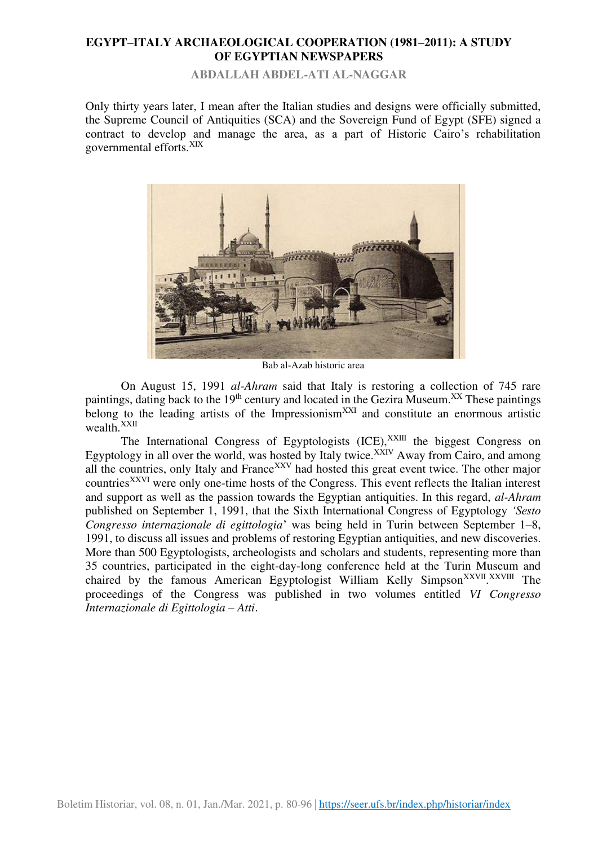**ABDALLAH ABDEL-ATI AL-NAGGAR** 

Only thirty years later, I mean after the Italian studies and designs were officially submitted, the Supreme Council of Antiquities (SCA) and the Sovereign Fund of Egypt (SFE) signed a contract to develop and manage the area, as a part of Historic Cairo's rehabilitation governmental efforts.XIX



Bab al-Azab historic area

On August 15, 1991 *al-Ahram* said that Italy is restoring a collection of 745 rare paintings, dating back to the 19<sup>th</sup> century and located in the Gezira Museum.<sup>XX</sup> These paintings belong to the leading artists of the Impressionism<sup>XXI</sup> and constitute an enormous artistic wealth.<sup>XXII</sup>

The International Congress of Egyptologists  $(ICE)$ ,  $^{XXIII}$  the biggest Congress on Egyptology in all over the world, was hosted by Italy twice.<sup>XXIV</sup> Away from Cairo, and among all the countries, only Italy and France<sup>XXV</sup> had hosted this great event twice. The other major countriesXXVI were only one-time hosts of the Congress. This event reflects the Italian interest and support as well as the passion towards the Egyptian antiquities. In this regard, *al-Ahram* published on September 1, 1991, that the Sixth International Congress of Egyptology *'Sesto Congresso internazionale di egittologia*' was being held in Turin between September 1–8, 1991, to discuss all issues and problems of restoring Egyptian antiquities, and new discoveries. More than 500 Egyptologists, archeologists and scholars and students, representing more than 35 countries, participated in the eight-day-long conference held at the Turin Museum and chaired by the famous American Egyptologist William Kelly Simpson<sup>XXVII</sup>. XXVIII The proceedings of the Congress was published in two volumes entitled *VI Congresso Internazionale di Egittologia – Atti*.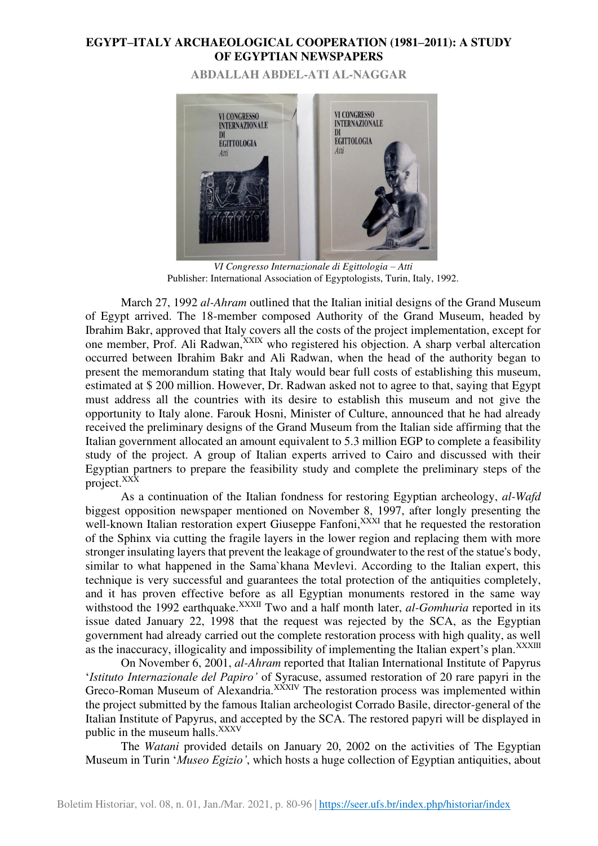**ABDALLAH ABDEL-ATI AL-NAGGAR** 



*VI Congresso Internazionale di Egittologia – Atti* Publisher: International Association of Egyptologists, Turin, Italy, 1992.

March 27, 1992 *al-Ahram* outlined that the Italian initial designs of the Grand Museum of Egypt arrived. The 18-member composed Authority of the Grand Museum, headed by Ibrahim Bakr, approved that Italy covers all the costs of the project implementation, except for one member, Prof. Ali Radwan,<sup>XXIX</sup> who registered his objection. A sharp verbal altercation occurred between Ibrahim Bakr and Ali Radwan, when the head of the authority began to present the memorandum stating that Italy would bear full costs of establishing this museum, estimated at \$ 200 million. However, Dr. Radwan asked not to agree to that, saying that Egypt must address all the countries with its desire to establish this museum and not give the opportunity to Italy alone. Farouk Hosni, Minister of Culture, announced that he had already received the preliminary designs of the Grand Museum from the Italian side affirming that the Italian government allocated an amount equivalent to 5.3 million EGP to complete a feasibility study of the project. A group of Italian experts arrived to Cairo and discussed with their Egyptian partners to prepare the feasibility study and complete the preliminary steps of the project.<sup>XXX</sup>

As a continuation of the Italian fondness for restoring Egyptian archeology, *al-Wafd* biggest opposition newspaper mentioned on November 8, 1997, after longly presenting the well-known Italian restoration expert Giuseppe Fanfoni,  $\frac{XX}{X}$  that he requested the restoration of the Sphinx via cutting the fragile layers in the lower region and replacing them with more stronger insulating layers that prevent the leakage of groundwater to the rest of the statue's body, similar to what happened in the Sama`khana Mevlevi. According to the Italian expert, this technique is very successful and guarantees the total protection of the antiquities completely, and it has proven effective before as all Egyptian monuments restored in the same way withstood the 1992 earthquake.<sup>XXXII</sup> Two and a half month later, *al-Gomhuria* reported in its issue dated January 22, 1998 that the request was rejected by the SCA, as the Egyptian government had already carried out the complete restoration process with high quality, as well as the inaccuracy, illogicality and impossibility of implementing the Italian expert's plan.<sup>XXXIII</sup>

On November 6, 2001, *al-Ahram* reported that Italian International Institute of Papyrus '*Istituto Internazionale del Papiro'* of Syracuse, assumed restoration of 20 rare papyri in the Greco-Roman Museum of Alexandria. $X^{\dot{X}XIV}$  The restoration process was implemented within the project submitted by the famous Italian archeologist Corrado Basile, director-general of the Italian Institute of Papyrus, and accepted by the SCA. The restored papyri will be displayed in public in the museum halls.<sup>XXXV</sup>

The *Watani* provided details on January 20, 2002 on the activities of The Egyptian Museum in Turin '*Museo Egizio'*, which hosts a huge collection of Egyptian antiquities, about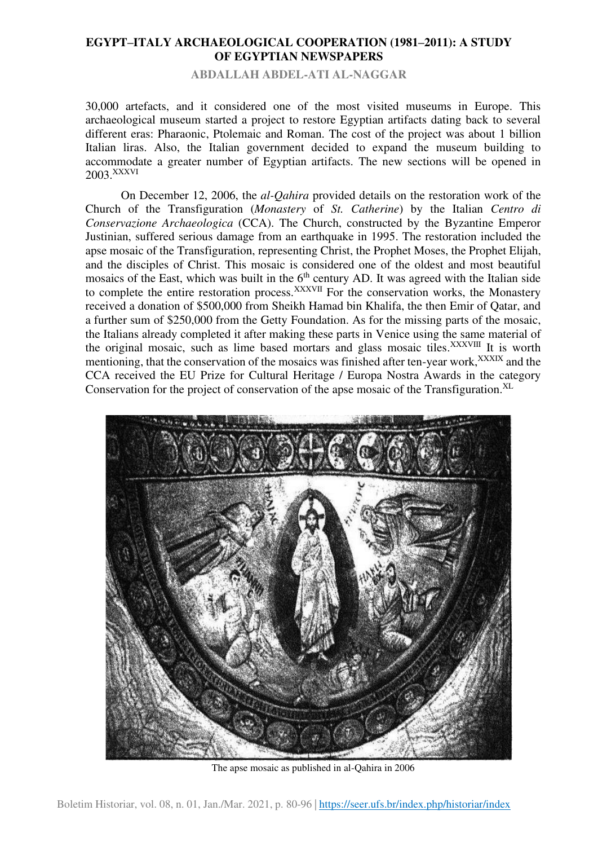**ABDALLAH ABDEL-ATI AL-NAGGAR** 

30,000 artefacts, and it considered one of the most visited museums in Europe. This archaeological museum started a project to restore Egyptian artifacts dating back to several different eras: Pharaonic, Ptolemaic and Roman. The cost of the project was about 1 billion Italian liras. Also, the Italian government decided to expand the museum building to accommodate a greater number of Egyptian artifacts. The new sections will be opened in 2003.XXXVI

On December 12, 2006, the *al-Qahira* provided details on the restoration work of the Church of the Transfiguration (*Monastery* of *St. Catherine*) by the Italian *Centro di Conservazione Archaeologica* (CCA). The Church, constructed by the Byzantine Emperor Justinian, suffered serious damage from an earthquake in 1995. The restoration included the apse mosaic of the Transfiguration, representing Christ, the Prophet Moses, the Prophet Elijah, and the disciples of Christ. This mosaic is considered one of the oldest and most beautiful mosaics of the East, which was built in the  $6<sup>th</sup>$  century AD. It was agreed with the Italian side to complete the entire restoration process.<sup>XXXVII</sup> For the conservation works, the Monastery received a donation of \$500,000 from Sheikh Hamad bin Khalifa, the then Emir of Qatar, and a further sum of \$250,000 from the Getty Foundation. As for the missing parts of the mosaic, the Italians already completed it after making these parts in Venice using the same material of the original mosaic, such as lime based mortars and glass mosaic tiles.<sup>XXXVIII</sup> It is worth mentioning, that the conservation of the mosaics was finished after ten-year work,<sup>XXXIX</sup> and the CCA received the EU Prize for Cultural Heritage / Europa Nostra Awards in the category Conservation for the project of conservation of the apse mosaic of the Transfiguration.<sup>XL</sup>



The apse mosaic as published in al-Qahira in 2006

Boletim Historiar, vol. 08, n. 01, Jan./Mar. 2021, p. 96-80 |<https://seer.ufs.br/index.php/historiar/index>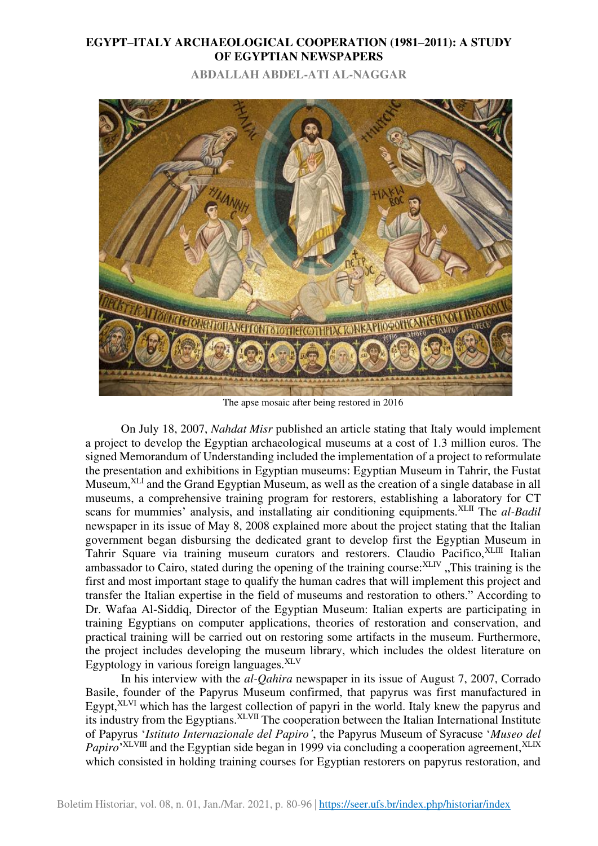**ABDALLAH ABDEL-ATI AL-NAGGAR** 



The apse mosaic after being restored in 2016

On July 18, 2007, *Nahdat Misr* published an article stating that Italy would implement a project to develop the Egyptian archaeological museums at a cost of 1.3 million euros. The signed Memorandum of Understanding included the implementation of a project to reformulate the presentation and exhibitions in Egyptian museums: Egyptian Museum in Tahrir, the Fustat Museum,<sup>XLI</sup> and the Grand Egyptian Museum, as well as the creation of a single database in all museums, a comprehensive training program for restorers, establishing a laboratory for CT scans for mummies' analysis, and installating air conditioning equipments.<sup>XLII</sup> The *al-Badil* newspaper in its issue of May 8, 2008 explained more about the project stating that the Italian government began disbursing the dedicated grant to develop first the Egyptian Museum in Tahrir Square via training museum curators and restorers. Claudio Pacifico, XLIII Italian ambassador to Cairo, stated during the opening of the training course: XLIV, This training is the first and most important stage to qualify the human cadres that will implement this project and transfer the Italian expertise in the field of museums and restoration to others." According to Dr. Wafaa Al-Siddiq, Director of the Egyptian Museum: Italian experts are participating in training Egyptians on computer applications, theories of restoration and conservation, and practical training will be carried out on restoring some artifacts in the museum. Furthermore, the project includes developing the museum library, which includes the oldest literature on Egyptology in various foreign languages.XLV

In his interview with the *al-Qahira* newspaper in its issue of August 7, 2007, Corrado Basile, founder of the Papyrus Museum confirmed, that papyrus was first manufactured in Egypt,<sup>XLVI</sup> which has the largest collection of papyri in the world. Italy knew the papyrus and its industry from the Egyptians.  $XLVII$  The cooperation between the Italian International Institute of Papyrus '*Istituto Internazionale del Papiro'*, the Papyrus Museum of Syracuse '*Museo del*  Papiro<sup>, XLVIII</sup> and the Egyptian side began in 1999 via concluding a cooperation agreement, <sup>XLIX</sup> which consisted in holding training courses for Egyptian restorers on papyrus restoration, and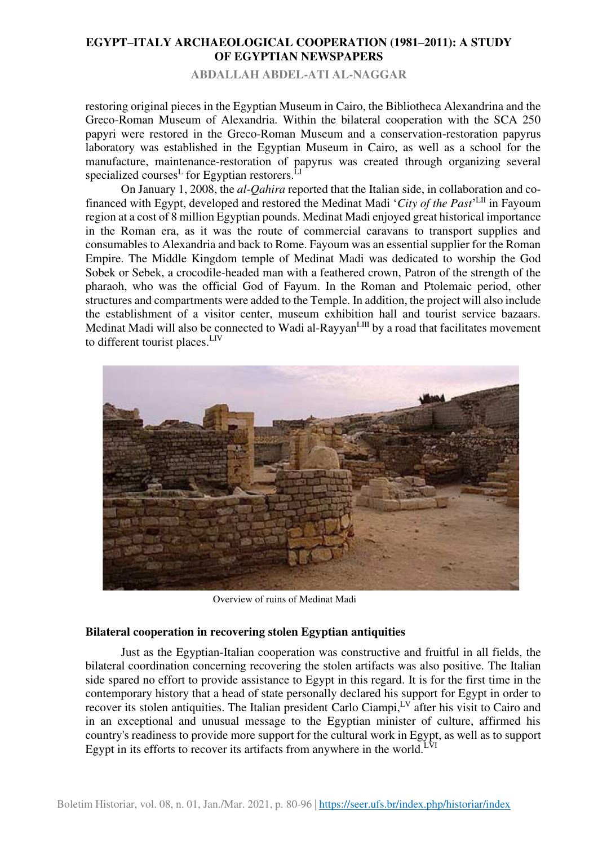**ABDALLAH ABDEL-ATI AL-NAGGAR** 

restoring original pieces in the Egyptian Museum in Cairo, the Bibliotheca Alexandrina and the Greco-Roman Museum of Alexandria. Within the bilateral cooperation with the SCA 250 papyri were restored in the Greco-Roman Museum and a conservation -restoration papyrus laboratory was established in the Egyptian Museum in Cairo, as well as a school for the manufacture, maintenance-restoration of papyrus was created through organizing several specialized courses<sup>L</sup> for Egyptian restorers.<sup>LI</sup>

On January 1, 2008, the *al-Qahira* reported that the Italian side, in collaboration and cofinanced with Egypt, developed and restored the Medinat Madi 'City of the Past'<sup>LII</sup> in Fayoum region at a cost of 8 million Egyptian pounds. Medinat Madi enjoyed great historical importance in the Roman era, as it was the route of commercial caravans to transport supplies and consumables to Alexandria and back to Rome. Fayoum was an essential supplier for the Roman Empire. The Middle Kingdom temple of Medinat Madi was dedicated to worship the God Sobek or Sebek, a crocodile-headed man with a feathered crown, Patron of the strength of the pharaoh, who was the official God of Fayum. In the Roman and Ptolemaic period, other structures and compartments were added to the Temple. In addition, the project will also include the establishment of a visitor center, museum exhibition hall and tourist service bazaars. Medinat Madi will also be connected to Wadi al-Rayyan<sup>LIII</sup> by a road that facilitates movement to different tourist places.LIV



Overview of ruins of Medinat Madi

#### **Bilateral cooperation in recovering stolen Egyptian antiquities**

Just as the Egyptian-Italian cooperation was constructive and fruitful in all fields, the bilateral coordination concerning recovering the stolen artifacts was also positive. The Italian side spared no effort to provide assistance to Egypt in this regard. It is for the first time in the contemporary history that a head of state personally declared his support for Egypt in order to recover its stolen antiquities. The Italian president Carlo Ciampi, LV after his visit to Cairo and in an exceptional and unusual message to the Egyptian minister of culture, affirmed his country's readiness to provide more support for the cultural work in Egypt, as well as to support Egypt in its efforts to recover its artifacts from anywhere in the world.<sup>LVI</sup>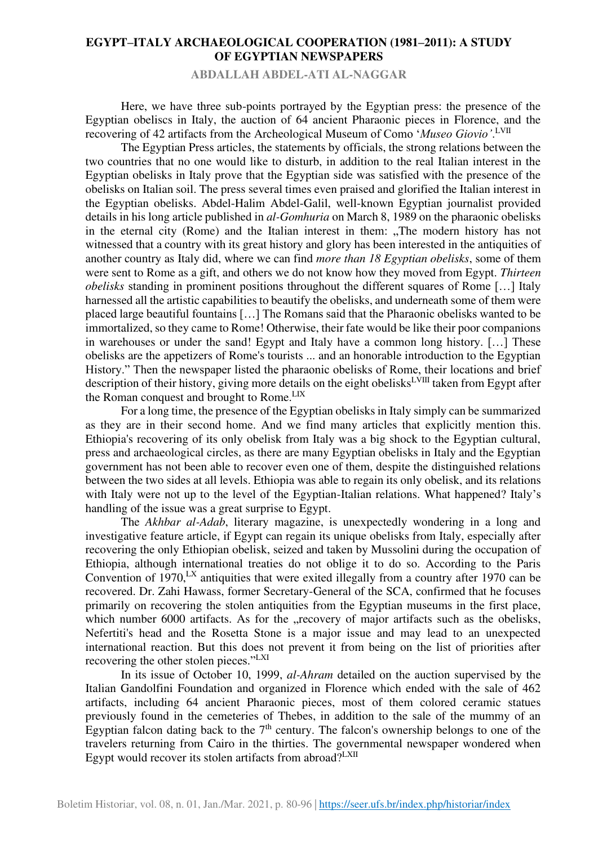**ABDALLAH ABDEL-ATI AL-NAGGAR** 

Here, we have three sub-points portrayed by the Egyptian press: the presence of the Egyptian obeliscs in Italy, the auction of 64 ancient Pharaonic pieces in Florence, and the recovering of 42 artifacts from the Archeological Museum of Como '*Museo Giovio'*. LVII

The Egyptian Press articles, the statements by officials, the strong relations between the two countries that no one would like to disturb, in addition to the real Italian interest in the Egyptian obelisks in Italy prove that the Egyptian side was satisfied with the presence of the obelisks on Italian soil. The press several times even praised and glorified the Italian interest in the Egyptian obelisks. Abdel-Halim Abdel-Galil, well-known Egyptian journalist provided details in his long article published in *al-Gomhuria* on March 8, 1989 on the pharaonic obelisks in the eternal city (Rome) and the Italian interest in them: "The modern history has not witnessed that a country with its great history and glory has been interested in the antiquities of another country as Italy did, where we can find *more than 18 Egyptian obelisks*, some of them were sent to Rome as a gift, and others we do not know how they moved from Egypt. *Thirteen obelisks* standing in prominent positions throughout the different squares of Rome […] Italy harnessed all the artistic capabilities to beautify the obelisks, and underneath some of them were placed large beautiful fountains […] The Romans said that the Pharaonic obelisks wanted to be immortalized, so they came to Rome! Otherwise, their fate would be like their poor companions in warehouses or under the sand! Egypt and Italy have a common long history. […] These obelisks are the appetizers of Rome's tourists ... and an honorable introduction to the Egyptian History." Then the newspaper listed the pharaonic obelisks of Rome, their locations and brief description of their history, giving more details on the eight obelisks<sup>LVIII</sup> taken from Egypt after the Roman conquest and brought to Rome.<sup>LIX</sup>

For a long time, the presence of the Egyptian obelisks in Italy simply can be summarized as they are in their second home. And we find many articles that explicitly mention this. Ethiopia's recovering of its only obelisk from Italy was a big shock to the Egyptian cultural, press and archaeological circles, as there are many Egyptian obelisks in Italy and the Egyptian government has not been able to recover even one of them, despite the distinguished relations between the two sides at all levels. Ethiopia was able to regain its only obelisk, and its relations with Italy were not up to the level of the Egyptian-Italian relations. What happened? Italy's handling of the issue was a great surprise to Egypt.

The *Akhbar al-Adab*, literary magazine, is unexpectedly wondering in a long and investigative feature article, if Egypt can regain its unique obelisks from Italy, especially after recovering the only Ethiopian obelisk, seized and taken by Mussolini during the occupation of Ethiopia, although international treaties do not oblige it to do so. According to the Paris Convention of 1970,<sup>LX</sup> antiquities that were exited illegally from a country after 1970 can be recovered. Dr. Zahi Hawass, former Secretary-General of the SCA, confirmed that he focuses primarily on recovering the stolen antiquities from the Egyptian museums in the first place, which number 6000 artifacts. As for the "recovery of major artifacts such as the obelisks, Nefertiti's head and the Rosetta Stone is a major issue and may lead to an unexpected international reaction. But this does not prevent it from being on the list of priorities after recovering the other stolen pieces."LXI

In its issue of October 10, 1999, *al-Ahram* detailed on the auction supervised by the Italian Gandolfini Foundation and organized in Florence which ended with the sale of 462 artifacts, including 64 ancient Pharaonic pieces, most of them colored ceramic statues previously found in the cemeteries of Thebes, in addition to the sale of the mummy of an Egyptian falcon dating back to the  $7<sup>th</sup>$  century. The falcon's ownership belongs to one of the travelers returning from Cairo in the thirties. The governmental newspaper wondered when Egypt would recover its stolen artifacts from abroad? $LXII$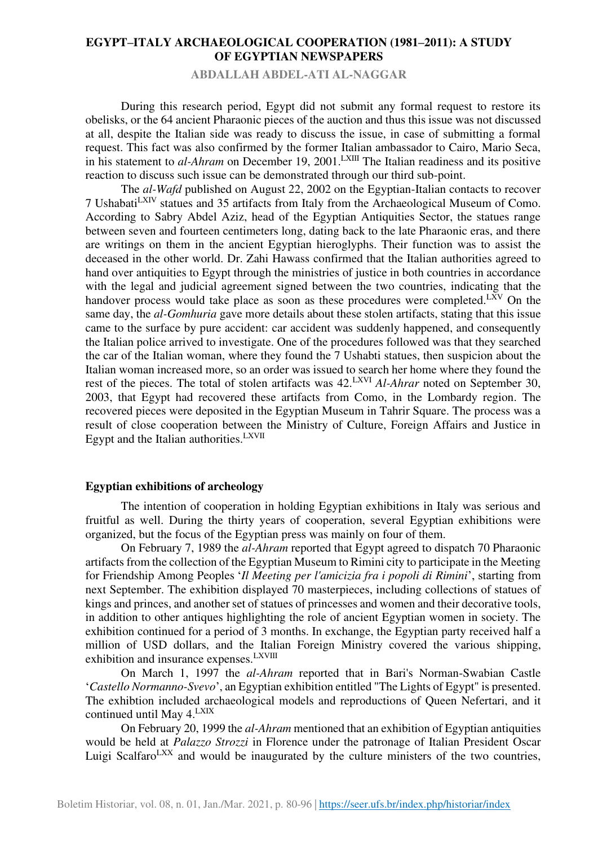**ABDALLAH ABDEL-ATI AL-NAGGAR** 

During this research period, Egypt did not submit any formal request to restore its obelisks, or the 64 ancient Pharaonic pieces of the auction and thus this issue was not discussed at all, despite the Italian side was ready to discuss the issue, in case of submitting a formal request. This fact was also confirmed by the former Italian ambassador to Cairo, Mario Seca, in his statement to *al-Ahram* on December 19, 2001.<sup>LXIII</sup> The Italian readiness and its positive reaction to discuss such issue can be demonstrated through our third sub-point.

The *al-Wafd* published on August 22, 2002 on the Egyptian-Italian contacts to recover 7 UshabatiLXIV statues and 35 artifacts from Italy from the Archaeological Museum of Como. According to Sabry Abdel Aziz, head of the Egyptian Antiquities Sector, the statues range between seven and fourteen centimeters long, dating back to the late Pharaonic eras, and there are writings on them in the ancient Egyptian hieroglyphs. Their function was to assist the deceased in the other world. Dr. Zahi Hawass confirmed that the Italian authorities agreed to hand over antiquities to Egypt through the ministries of justice in both countries in accordance with the legal and judicial agreement signed between the two countries, indicating that the handover process would take place as soon as these procedures were completed.<sup>LXV</sup> On the same day, the *al-Gomhuria* gave more details about these stolen artifacts, stating that this issue came to the surface by pure accident: car accident was suddenly happened, and consequently the Italian police arrived to investigate. One of the procedures followed was that they searched the car of the Italian woman, where they found the 7 Ushabti statues, then suspicion about the Italian woman increased more, so an order was issued to search her home where they found the rest of the pieces. The total of stolen artifacts was 42.LXVI *Al-Ahrar* noted on September 30, 2003, that Egypt had recovered these artifacts from Como, in the Lombardy region. The recovered pieces were deposited in the Egyptian Museum in Tahrir Square. The process was a result of close cooperation between the Ministry of Culture, Foreign Affairs and Justice in Egypt and the Italian authorities.<sup>LXVII</sup>

#### **Egyptian exhibitions of archeology**

The intention of cooperation in holding Egyptian exhibitions in Italy was serious and fruitful as well. During the thirty years of cooperation, several Egyptian exhibitions were organized, but the focus of the Egyptian press was mainly on four of them.

On February 7, 1989 the *al-Ahram* reported that Egypt agreed to dispatch 70 Pharaonic artifacts from the collection of the Egyptian Museum to Rimini city to participate in the Meeting for Friendship Among Peoples '*Il Meeting per l'amicizia fra i popoli di Rimini*', starting from next September. The exhibition displayed 70 masterpieces, including collections of statues of kings and princes, and another set of statues of princesses and women and their decorative tools, in addition to other antiques highlighting the role of ancient Egyptian women in society. The exhibition continued for a period of 3 months. In exchange, the Egyptian party received half a million of USD dollars, and the Italian Foreign Ministry covered the various shipping, exhibition and insurance expenses.<sup>LXVIII</sup>

On March 1, 1997 the *al-Ahram* reported that in Bari's Norman-Swabian Castle '*Castello Normanno-Svevo*', an Egyptian exhibition entitled "The Lights of Egypt" is presented. The exhibtion included archaeological models and reproductions of Queen Nefertari, and it continued until May 4.LXIX

On February 20, 1999 the *al-Ahram* mentioned that an exhibition of Egyptian antiquities would be held at *Palazzo Strozzi* in Florence under the patronage of Italian President Oscar Luigi Scalfaro<sup>LXX</sup> and would be inaugurated by the culture ministers of the two countries,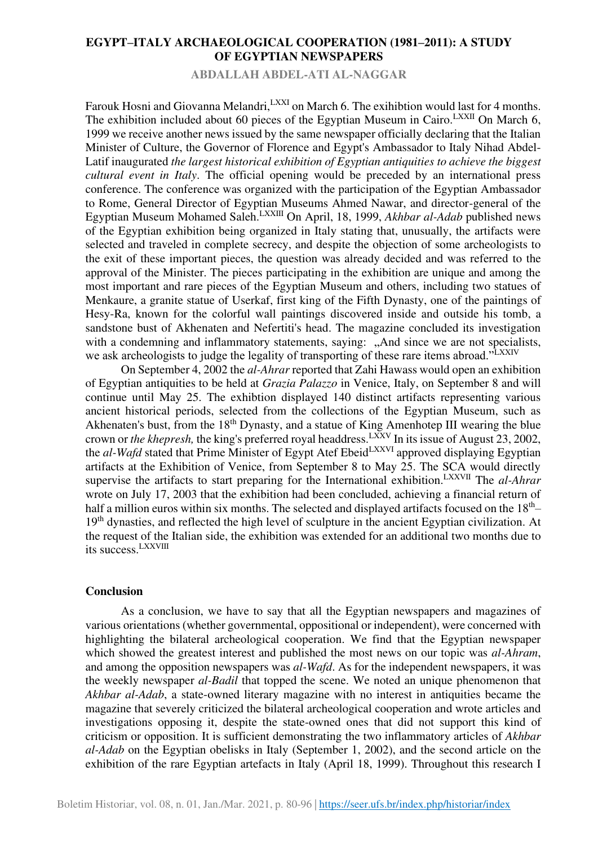**ABDALLAH ABDEL-ATI AL-NAGGAR** 

Farouk Hosni and Giovanna Melandri, LXXI on March 6. The exihibtion would last for 4 months. The exhibition included about 60 pieces of the Egyptian Museum in Cairo.<sup>LXXII</sup> On March 6, 1999 we receive another news issued by the same newspaper officially declaring that the Italian Minister of Culture, the Governor of Florence and Egypt's Ambassador to Italy Nihad Abdel-Latif inaugurated *the largest historical exhibition of Egyptian antiquities to achieve the biggest cultural event in Italy*. The official opening would be preceded by an international press conference. The conference was organized with the participation of the Egyptian Ambassador to Rome, General Director of Egyptian Museums Ahmed Nawar, and director-general of the Egyptian Museum Mohamed Saleh.LXXIII On April, 18, 1999, *Akhbar al-Adab* published news of the Egyptian exhibition being organized in Italy stating that, unusually, the artifacts were selected and traveled in complete secrecy, and despite the objection of some archeologists to the exit of these important pieces, the question was already decided and was referred to the approval of the Minister. The pieces participating in the exhibition are unique and among the most important and rare pieces of the Egyptian Museum and others, including two statues of Menkaure, a granite statue of Userkaf, first king of the Fifth Dynasty, one of the paintings of Hesy-Ra, known for the colorful wall paintings discovered inside and outside his tomb, a sandstone bust of Akhenaten and Nefertiti's head. The magazine concluded its investigation with a condemning and inflammatory statements, saying: "And since we are not specialists, we ask archeologists to judge the legality of transporting of these rare items abroad."LXXIV

On September 4, 2002 the *al-Ahrar* reported that Zahi Hawass would open an exhibition of Egyptian antiquities to be held at *Grazia Palazzo* in Venice, Italy, on September 8 and will continue until May 25. The exhibtion displayed 140 distinct artifacts representing various ancient historical periods, selected from the collections of the Egyptian Museum, such as Akhenaten's bust, from the 18<sup>th</sup> Dynasty, and a statue of King Amenhotep III wearing the blue crown or *the khepresh*, the king's preferred royal headdress.<sup>LXXV</sup> In its issue of August 23, 2002, the *al-Wafd* stated that Prime Minister of Egypt Atef Ebeid<sup>LXXVI</sup> approved displaying Egyptian artifacts at the Exhibition of Venice, from September 8 to May 25. The SCA would directly supervise the artifacts to start preparing for the International exhibition.LXXVII The *al-Ahrar* wrote on July 17, 2003 that the exhibition had been concluded, achieving a financial return of half a million euros within six months. The selected and displayed artifacts focused on the  $18<sup>th</sup>$ -19<sup>th</sup> dynasties, and reflected the high level of sculpture in the ancient Egyptian civilization. At the request of the Italian side, the exhibition was extended for an additional two months due to its success.LXXVIII

#### **Conclusion**

As a conclusion, we have to say that all the Egyptian newspapers and magazines of various orientations (whether governmental, oppositional or independent), were concerned with highlighting the bilateral archeological cooperation. We find that the Egyptian newspaper which showed the greatest interest and published the most news on our topic was *al-Ahram*, and among the opposition newspapers was *al-Wafd*. As for the independent newspapers, it was the weekly newspaper *al-Badil* that topped the scene. We noted an unique phenomenon that *Akhbar al-Adab*, a state-owned literary magazine with no interest in antiquities became the magazine that severely criticized the bilateral archeological cooperation and wrote articles and investigations opposing it, despite the state-owned ones that did not support this kind of criticism or opposition. It is sufficient demonstrating the two inflammatory articles of *Akhbar al-Adab* on the Egyptian obelisks in Italy (September 1, 2002), and the second article on the exhibition of the rare Egyptian artefacts in Italy (April 18, 1999). Throughout this research I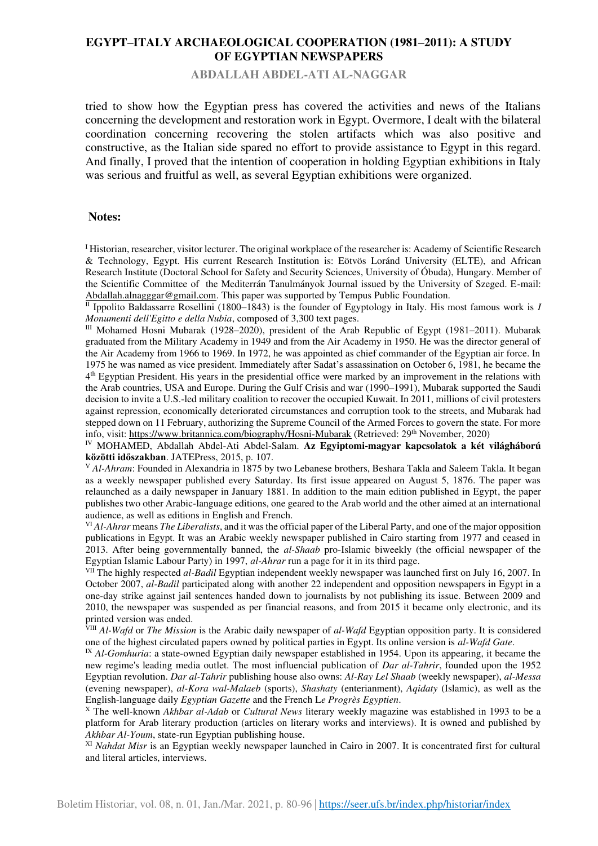#### **ABDALLAH ABDEL-ATI AL-NAGGAR**

tried to show how the Egyptian press has covered the activities and news of the Italians concerning the development and restoration work in Egypt. Overmore, I dealt with the bilateral coordination concerning recovering the stolen artifacts which was also positive and constructive, as the Italian side spared no effort to provide assistance to Egypt in this regard. And finally, I proved that the intention of cooperation in holding Egyptian exhibitions in Italy was serious and fruitful as well, as several Egyptian exhibitions were organized.

#### **Notes:**

<sup>I</sup> Historian, researcher, visitor lecturer. The original workplace of the researcher is: Academy of Scientific Research & Technology, Egypt. His current Research Institution is: Eötvös Loránd University (ELTE), and African Research Institute (Doctoral School for Safety and Security Sciences, University of Óbuda), Hungary. Member of the Scientific Committee of the Mediterrán Tanulmányok Journal issued by the University of Szeged. E-mail: [Abdallah.alnagggar@gmail.com.](mailto:Abdallah.alnagggar@gmail.com) This paper was supported by Tempus Public Foundation.

 $\overline{II}$  Ippolito Baldassarre Rosellini (1800–1843) is the founder of Egyptology in Italy. His most famous work is *I Monumenti dell'Egitto e della Nubia*, composed of 3,300 text pages.

III Mohamed Hosni Mubarak (1928–2020), president of the Arab Republic of Egypt (1981–2011). Mubarak graduated from the Military Academy in 1949 and from the Air Academy in 1950. He was the director general of the Air Academy from 1966 to 1969. In 1972, he was appointed as chief commander of the Egyptian air force. In 1975 he was named as vice president. Immediately after Sadat's assassination on October 6, 1981, he became the 4<sup>th</sup> Egyptian President. His years in the presidential office were marked by an improvement in the relations with the Arab countries, USA and Europe. During the Gulf Crisis and war (1990–1991), Mubarak supported the Saudi decision to invite a U.S.-led military coalition to recover the occupied Kuwait. In 2011, millions of civil protesters against repression, economically deteriorated circumstances and corruption took to the streets, and Mubarak had stepped down on 11 February, authorizing the Supreme Council of the Armed Forces to govern the state. For more info, visit[: https://www.britannica.com/biography/Hosni-Mubarak](https://www.britannica.com/biography/Hosni-Mubarak) (Retrieved: 29<sup>th</sup> November, 2020)

IV MOHAMED, Abdallah Abdel-Ati Abdel-Salam. **Az Egyiptomi-magyar kapcsolatok a két világháború közötti időszakban**. JATEPress, 2015, p. 107.

<sup>V</sup> Al-Ahram: Founded in Alexandria in 1875 by two Lebanese brothers, Beshara Takla and Saleem Takla. It began as a weekly newspaper published every Saturday. Its first issue appeared on August 5, 1876. The paper was relaunched as a daily newspaper in January 1881. In addition to the main edition published in Egypt, the paper publishes two other Arabic-language editions, one geared to the Arab world and the other aimed at an international audience, as well as editions in English and French.

VI *Al-Ahrar* means *The Liberalists*, and it was the official paper of the Liberal Party, and one of the major opposition publications in Egypt. It was an Arabic weekly newspaper published in Cairo starting from 1977 and ceased in 2013. After being governmentally banned, the *al-Shaab* pro-Islamic biweekly (the official newspaper of the Egyptian Islamic Labour Party) in 1997, *al-Ahrar* run a page for it in its third page.

VII The highly respected *al-Badil* Egyptian independent weekly newspaper was launched first on July 16, 2007. In October 2007, *al-Badil* participated along with another 22 independent and opposition newspapers in Egypt in a one-day strike against jail sentences handed down to journalists by not publishing its issue. Between 2009 and 2010, the newspaper was suspended as per financial reasons, and from 2015 it became only electronic, and its printed version was ended.

VIII *Al-Wafd* or *The Mission* is the Arabic daily newspaper of *al-Wafd* Egyptian opposition party. It is considered one of the highest circulated papers owned by political parties in Egypt. Its online version is *al-Wafd Gate*.

<sup>IX</sup> *Al-Gomhuria*: a state-owned Egyptian daily newspaper established in 1954. Upon its appearing, it became the new regime's leading media outlet. The most influencial publication of *Dar al-Tahrir*, founded upon the 1952 Egyptian revolution. *Dar al-Tahrir* publishing house also owns: *Al-Ray Lel Shaab* (weekly newspaper), *al-Messa* (evening newspaper), *al-Kora wal-Malaeb* (sports), *Shashaty* (enterianment), *Aqidaty* (Islamic), as well as the English-language daily *Egyptian Gazette* and the French L*e Progrès Egyptien*.

<sup>X</sup> The well-known *Akhbar al-Adab* or *Cultural News* literary weekly magazine was established in 1993 to be a platform for Arab literary production (articles on literary works and interviews). It is owned and published by *Akhbar Al-Youm*, state-run Egyptian publishing house.

XI *Nahdat Misr* is an Egyptian weekly newspaper launched in Cairo in 2007. It is concentrated first for cultural and literal articles, interviews.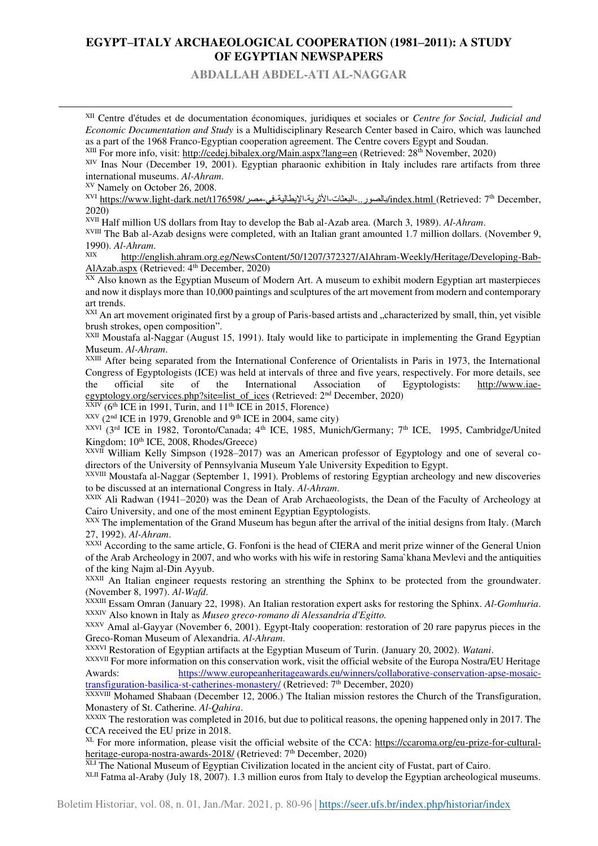**ABDALLAH ABDEL-ATI AL-NAGGAR** 

XII Centre d'études et de documentation économiques, juridiques et sociales or *Centre for Social, Judicial and Economic Documentation and Study* is a Multidisciplinary Research Center based in Cairo, which was launched as a part of the 1968 Franco-Egyptian cooperation agreement. The Centre covers Egypt and Soudan.

XIII For more info, visit:<http://cedej.bibalex.org/Main.aspx?lang=en>(Retrieved: 28th November, 2020)

XIV Inas Nour (December 19, 2001). Egyptian pharaonic exhibition in Italy includes rare artifacts from three international museums. *Al-Ahram*.

XV Namely on October 26, 2008.

XVI [https://www.light-dark.net/t176598/](https://www.light-dark.net/t176598/بالصور..-البعثات-الأثرية-الإيطالية-في-مصر/index.html)مصور..-البعثات-الأثرية-الإيطالية-في-مصر/index.html (Retrieved: 7<sup>th</sup> December, 2020)

XVII Half million US dollars from Itay to develop the Bab al-Azab area. (March 3, 1989). *Al-Ahram*.

XVIII The Bab al-Azab designs were completed, with an Italian grant amounted 1.7 million dollars. (November 9, 1990). *Al-Ahram*.

[http://english.ahram.org.eg/NewsContent/50/1207/372327/AlAhram-Weekly/Heritage/Developing-Bab-](http://english.ahram.org.eg/NewsContent/50/1207/372327/AlAhram-Weekly/Heritage/Developing-Bab-AlAzab.aspx)[AlAzab.aspx](http://english.ahram.org.eg/NewsContent/50/1207/372327/AlAhram-Weekly/Heritage/Developing-Bab-AlAzab.aspx) (Retrieved: 4<sup>th</sup> December, 2020)

XX Also known as the Egyptian Museum of Modern Art. A museum to exhibit modern Egyptian art masterpieces and now it displays more than 10,000 paintings and sculptures of the art movement from modern and contemporary art trends.

 $X^{\text{XX}}$  An art movement originated first by a group of Paris-based artists and ...characterized by small, thin, yet visible brush strokes, open composition".

XXII Moustafa al-Naggar (August 15, 1991). Italy would like to participate in implementing the Grand Egyptian Museum. *Al-Ahram*.

XXIII After being separated from the International Conference of Orientalists in Paris in 1973, the International Congress of Egyptologists (ICE) was held at intervals of three and five years, respectively. For more details, see the official site of the International Association of Egyptologists: [http://www.iae](http://www.iae-egyptology.org/services.php?site=list_of_ices)[egyptology.org/services.php?site=list\\_of\\_ices](http://www.iae-egyptology.org/services.php?site=list_of_ices) (Retrieved: 2<sup>nd</sup> December, 2020)

 $K(6<sup>th</sup> ICE in 1991, Turin, and 11<sup>th</sup> ICE in 2015, Florence)$ 

 $XXY$  (2<sup>nd</sup> ICE in 1979, Grenoble and 9<sup>th</sup> ICE in 2004, same city)

XXVI (3rd ICE in 1982, Toronto/Canada; 4<sup>th</sup> ICE, 1985, Munich/Germany; 7<sup>th</sup> ICE, 1995, Cambridge/United Kingdom; 10<sup>th</sup> ICE, 2008, Rhodes/Greece)

 $XXVII$  William Kelly Simpson (1928–2017) was an American professor of Egyptology and one of several codirectors of the University of Pennsylvania Museum Yale University Expedition to Egypt.

XXVIII Moustafa al-Naggar (September 1, 1991). Problems of restoring Egyptian archeology and new discoveries to be discussed at an international Congress in Italy. *Al-Ahram*.

XXIX Ali Radwan (1941–2020) was the Dean of Arab Archaeologists, the Dean of the Faculty of Archeology at Cairo University, and one of the most eminent Egyptian Egyptologists.

XXX The implementation of the Grand Museum has begun after the arrival of the initial designs from Italy. (March 27, 1992). *Al-Ahram*.

XXXI According to the same article, G. Fonfoni is the head of CIERA and merit prize winner of the General Union of the Arab Archeology in 2007, and who works with his wife in restoring Sama`khana Mevlevi and the antiquities of the king Najm al-Din Ayyub.

XXXII An Italian engineer requests restoring an strenthing the Sphinx to be protected from the groundwater. (November 8, 1997). *Al-Wafd*.

XXXIII Essam Omran (January 22, 1998). An Italian restoration expert asks for restoring the Sphinx. *Al-Gomhuria*. XXXIV Also known in Italy as *Museo greco-romano di Alessandria d'Egitto.*

XXXV Amal al-Gayyar (November 6, 2001). Egypt-Italy cooperation: restoration of 20 rare papyrus pieces in the Greco-Roman Museum of Alexandria. *Al-Ahram*.

XXXVI Restoration of Egyptian artifacts at the Egyptian Museum of Turin. (January 20, 2002). *Watani*.

XXXVII For more information on this conservation work, visit the official website of the Europa Nostra/EU Heritage Awards: [https://www.europeanheritageawards.eu/winners/collaborative-conservation-apse-mosaic](https://www.europeanheritageawards.eu/winners/collaborative-conservation-apse-mosaic-transfiguration-basilica-st-catherines-monastery/)[transfiguration-basilica-st-catherines-monastery/](https://www.europeanheritageawards.eu/winners/collaborative-conservation-apse-mosaic-transfiguration-basilica-st-catherines-monastery/) (Retrieved: 7th December, 2020)

XXXVIII Mohamed Shabaan (December 12, 2006.) The Italian mission restores the Church of the Transfiguration, Monastery of St. Catherine. *Al-Qahira*.

XXXIX The restoration was completed in 2016, but due to political reasons, the opening happened only in 2017. The CCA received the EU prize in 2018.

XL For more information, please visit the official website of the CCA: [https://ccaroma.org/eu-prize-for-cultural](https://ccaroma.org/eu-prize-for-cultural-heritage-europa-nostra-awards-2018/)[heritage-europa-nostra-awards-2018/ \(](https://ccaroma.org/eu-prize-for-cultural-heritage-europa-nostra-awards-2018/)Retrieved: 7<sup>th</sup> December, 2020)

XLI The National Museum of Egyptian Civilization located in the ancient city of Fustat, part of Cairo.

XLII Fatma al-Araby (July 18, 2007). 1.3 million euros from Italy to develop the Egyptian archeological museums.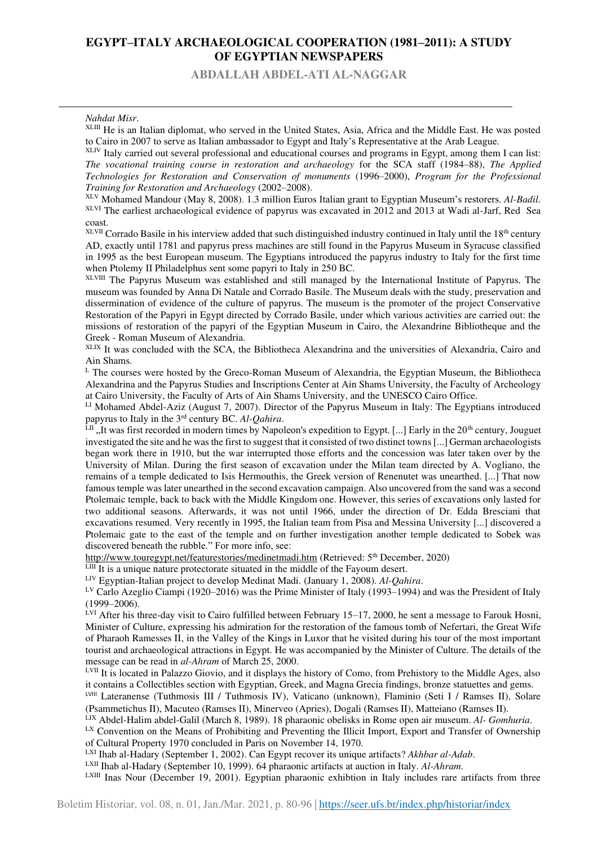**ABDALLAH ABDEL-ATI AL-NAGGAR** 

#### *Nahdat Misr*.

XLIII He is an Italian diplomat, who served in the United States, Asia, Africa and the Middle East. He was posted to Cairo in 2007 to serve as Italian ambassador to Egypt and Italy's Representative at the Arab League.

XLIV Italy carried out several professional and educational courses and programs in Egypt, among them I can list: *The vocational training course in restoration and archaeology* for the SCA staff (1984–88), *The Applied Technologies for Restoration and Conservation of monuments* (1996–2000), *Program for the Professional Training for Restoration and Archaeology* (2002–2008).

XLV Mohamed Mandour (May 8, 2008). 1.3 million Euros Italian grant to Egyptian Museum's restorers. *Al-Badil*. XLVI The earliest archaeological evidence of papyrus was excavated in 2012 and 2013 at Wadi al-Jarf, Red Sea coast.

XLVII Corrado Basile in his interview added that such distinguished industry continued in Italy until the 18<sup>th</sup> century AD, exactly until 1781 and papyrus press machines are still found in the Papyrus Museum in Syracuse classified in 1995 as the best European museum. The Egyptians introduced the papyrus industry to Italy for the first time when Ptolemy II Philadelphus sent some papyri to Italy in 250 BC.

XLVIII The Papyrus Museum was established and still managed by the International Institute of Papyrus. The museum was founded by Anna Di Natale and Corrado Basile. The Museum deals with the study, preservation and dissermination of evidence of the culture of papyrus. The museum is the promoter of the project Conservative Restoration of the Papyri in Egypt directed by Corrado Basile, under which various activities are carried out: the missions of restoration of the papyri of the Egyptian Museum in Cairo, the Alexandrine Bibliotheque and the Greek - Roman Museum of Alexandria.

XLIX It was concluded with the SCA, the Bibliotheca Alexandrina and the universities of Alexandria, Cairo and Ain Shams.

 $<sup>L</sup>$  The courses were hosted by the Greco-Roman Museum of Alexandria, the Egyptian Museum, the Bibliotheca</sup> Alexandrina and the Papyrus Studies and Inscriptions Center at Ain Shams University, the Faculty of Archeology at Cairo University, the Faculty of Arts of Ain Shams University, and the UNESCO Cairo Office.

<sup>LI</sup> Mohamed Abdel-Aziz (August 7, 2007). Director of the Papyrus Museum in Italy: The Egyptians introduced papyrus to Italy in the 3rd century BC. *Al-Qahira*.

 $\tilde{L}$ II ", It was first recorded in modern times by Napoleon's expedition to Egypt. [...] Early in the 20<sup>th</sup> century, Jouguet investigated the site and he was the first to suggest that it consisted of two distinct towns [...] German archaeologists began work there in 1910, but the war interrupted those efforts and the concession was later taken over by the University of Milan. During the first season of excavation under the Milan team directed by A. Vogliano, the remains of a temple dedicated to Isis Hermouthis, the Greek version of Renenutet was unearthed. [...] That now famous temple was later unearthed in the second excavation campaign. Also uncovered from the sand was a second Ptolemaic temple, back to back with the Middle Kingdom one. However, this series of excavations only lasted for two additional seasons. Afterwards, it was not until 1966, under the direction of Dr. Edda Bresciani that excavations resumed. Very recently in 1995, the Italian team from Pisa and Messina University [...] discovered a Ptolemaic gate to the east of the temple and on further investigation another temple dedicated to Sobek was discovered beneath the rubble." For more info, see:

<http://www.touregypt.net/featurestories/medinetmadi.htm>(Retrieved: 5<sup>th</sup> December, 2020)

 $L<sub>III</sub>$  It is a unique nature protectorate situated in the middle of the Fayoum desert.

LIV Egyptian-Italian project to develop Medinat Madi. (January 1, 2008). *Al-Qahira*.

LV Carlo Azeglio Ciampi (1920–2016) was the Prime Minister of Italy (1993–1994) and was the President of Italy (1999–2006).

<sup>LVI</sup> After his three-day visit to Cairo fulfilled between February 15–17, 2000, he sent a message to Farouk Hosni, Minister of Culture, expressing his admiration for the restoration of the famous tomb of Nefertari, the Great Wife of Pharaoh Ramesses II, in the Valley of the Kings in Luxor that he visited during his tour of the most important tourist and archaeological attractions in Egypt. He was accompanied by the Minister of Culture. The details of the message can be read in *al-Ahram* of March 25, 2000.

LVII It is located in Palazzo Giovio, and it displays the history of Como, from Prehistory to the Middle Ages, also it contains a Collectibles section with Egyptian, Greek, and Magna Grecia findings, bronze statuettes and gems.

LVIII Lateranense (Tuthmosis III / Tuthmosis IV), Vaticano (unknown), Flaminio (Seti I / Ramses II), Solare (Psammetichus II), Macuteo (Ramses II), Minerveo (Apries), Dogali (Ramses II), Matteiano (Ramses II).

LIX Abdel-Halim abdel-Galil (March 8, 1989). 18 pharaonic obelisks in Rome open air museum. *Al- Gomhuria*.

LX Convention on the Means of Prohibiting and Preventing the Illicit Import, Export and Transfer of Ownership of Cultural Property 1970 concluded in Paris on November 14, 1970.

LXI Ihab al-Hadary (September 1, 2002). Can Egypt recover its unique artifacts? *Akhbar al-Adab*.

LXII Ihab al-Hadary (September 10, 1999). 64 pharaonic artifacts at auction in Italy. *Al-Ahram*.

LXIII Inas Nour (December 19, 2001). Egyptian pharaonic exhibtion in Italy includes rare artifacts from three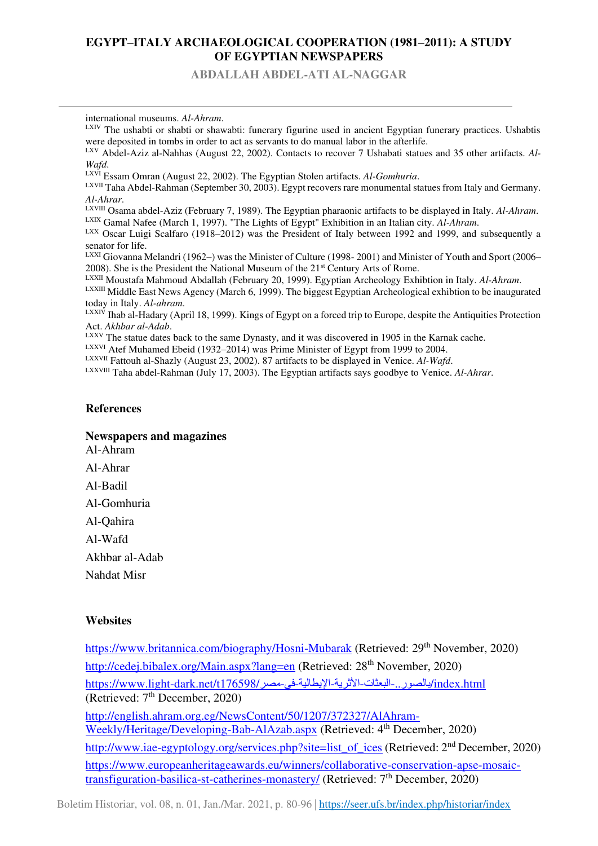**ABDALLAH ABDEL-ATI AL-NAGGAR** 

international museums. *Al-Ahram*.

LXIV The ushabti or shabti or shawabti: funerary figurine used in ancient Egyptian funerary practices. Ushabtis were deposited in tombs in order to act as servants to do manual labor in the afterlife.

LXV Abdel-Aziz al-Nahhas (August 22, 2002). Contacts to recover 7 Ushabati statues and 35 other artifacts. *Al-Wafd*.

LXVII Taha Abdel-Rahman (September 30, 2003). Egypt recovers rare monumental statues from Italy and Germany. *Al-Ahrar*.

LXVIII Osama abdel-Aziz (February 7, 1989). The Egyptian pharaonic artifacts to be displayed in Italy. *Al-Ahram*. LXIX Gamal Nafee (March 1, 1997). "The Lights of Egypt" Exhibition in an Italian city. *Al-Ahram*.

LXX Oscar Luigi Scalfaro (1918–2012) was the President of Italy between 1992 and 1999, and subsequently a senator for life.

LXXI Giovanna Melandri (1962–) was the Minister of Culture (1998- 2001) and Minister of Youth and Sport (2006– 2008). She is the President the National Museum of the  $21<sup>st</sup>$  Century Arts of Rome.

LXXII Moustafa Mahmoud Abdallah (February 20, 1999). Egyptian Archeology Exhibtion in Italy. *Al-Ahram*.

LXXIII Middle East News Agency (March 6, 1999). The biggest Egyptian Archeological exhibtion to be inaugurated today in Italy. *Al-ahram*.

 $LXXI\dot{V}$  Ihab al-Hadary (April 18, 1999). Kings of Egypt on a forced trip to Europe, despite the Antiquities Protection Act. *Akhbar al-Adab*.

LXXV The statue dates back to the same Dynasty, and it was discovered in 1905 in the Karnak cache.

LXXVI Atef Muhamed Ebeid (1932–2014) was Prime Minister of Egypt from 1999 to 2004.

LXXVII Fattouh al-Shazly (August 23, 2002). 87 artifacts to be displayed in Venice. *Al-Wafd*.

LXXVIII Taha abdel-Rahman (July 17, 2003). The Egyptian artifacts says goodbye to Venice. *Al-Ahrar*.

#### **References**

#### **Newspapers and magazines**

Al-Ahram Al-Ahrar Al-Badil Al-Gomhuria Al-Qahira Al-Wafd Akhbar al-Adab Nahdat Misr

#### **Websites**

<https://www.britannica.com/biography/Hosni-Mubarak>(Retrieved: 29<sup>th</sup> November, 2020) <http://cedej.bibalex.org/Main.aspx?lang=en>(Retrieved: 28<sup>th</sup> November, 2020) [https://www.light-dark.net/t176598/](https://www.light-dark.net/t176598/بالصور..-البعثات-الأثرية-الإيطالية-في-مصر/index.html)محصر/19598/مصر/https://www.light-dark.net/t1 (Retrieved: 7<sup>th</sup> December, 2020) [http://english.ahram.org.eg/NewsContent/50/1207/372327/AlAhram-](http://english.ahram.org.eg/NewsContent/50/1207/372327/AlAhram-Weekly/Heritage/Developing-Bab-AlAzab.aspx)[Weekly/Heritage/Developing-Bab-AlAzab.aspx](http://english.ahram.org.eg/NewsContent/50/1207/372327/AlAhram-Weekly/Heritage/Developing-Bab-AlAzab.aspx) (Retrieved: 4<sup>th</sup> December, 2020) [http://www.iae-egyptology.org/services.php?site=list\\_of\\_ices](http://www.iae-egyptology.org/services.php?site=list_of_ices) (Retrieved: 2<sup>nd</sup> December, 2020) [https://www.europeanheritageawards.eu/winners/collaborative-conservation-apse-mosaic](https://www.europeanheritageawards.eu/winners/collaborative-conservation-apse-mosaic-transfiguration-basilica-st-catherines-monastery/)[transfiguration-basilica-st-catherines-monastery/](https://www.europeanheritageawards.eu/winners/collaborative-conservation-apse-mosaic-transfiguration-basilica-st-catherines-monastery/) (Retrieved: 7th December, 2020)

Boletim Historiar, vol. 08, n. 01, Jan./Mar. 2021, p. 80-96 |<https://seer.ufs.br/index.php/historiar/index>.

LXVI Essam Omran (August 22, 2002). The Egyptian Stolen artifacts. *Al-Gomhuria*.